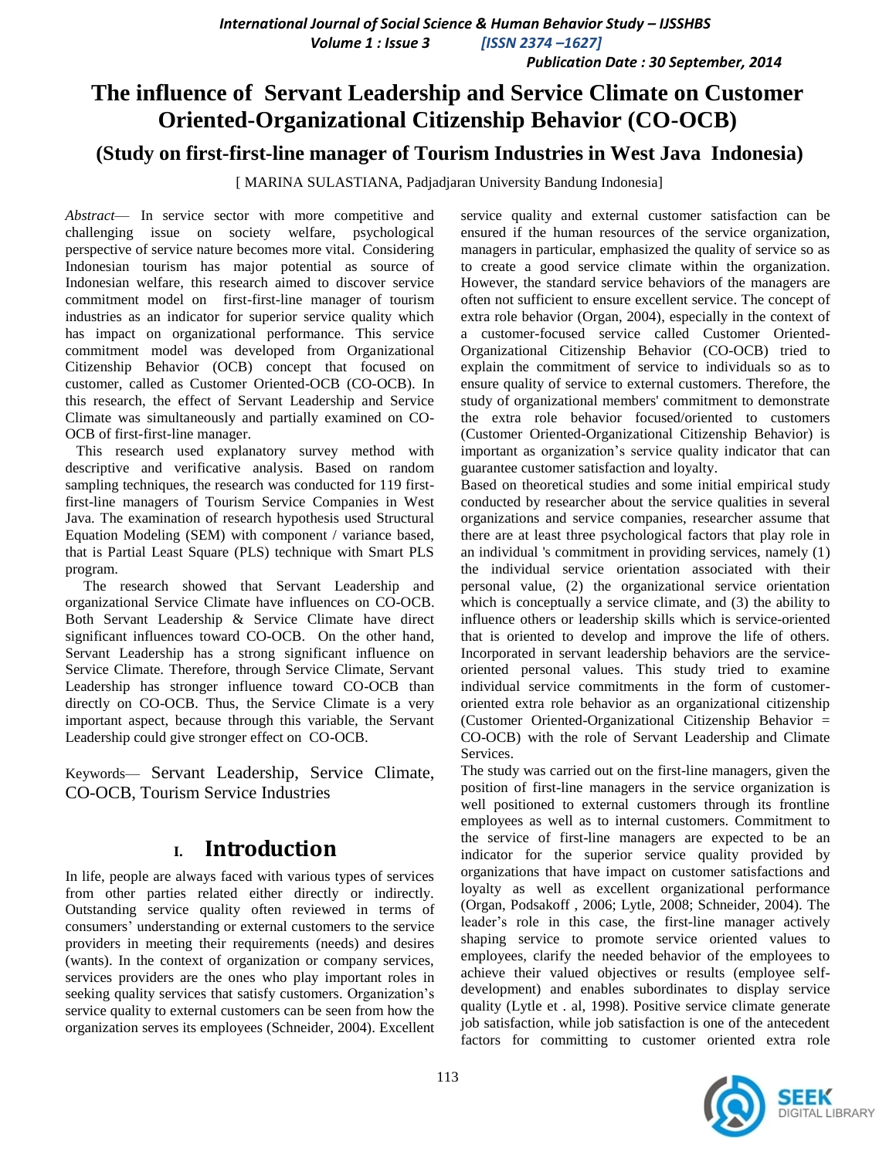*Volume 1 : Issue 3 [ISSN 2374 –1627]*

 *Publication Date : 30 September, 2014*

# **The influence of Servant Leadership and Service Climate on Customer Oriented-Organizational Citizenship Behavior (CO-OCB)**

### **(Study on first-first-line manager of Tourism Industries in West Java Indonesia)**

[ MARINA SULASTIANA, Padjadjaran University Bandung Indonesia]

*Abstract*— In service sector with more competitive and challenging issue on society welfare, psychological perspective of service nature becomes more vital. Considering Indonesian tourism has major potential as source of Indonesian welfare, this research aimed to discover service commitment model on first-first-line manager of tourism industries as an indicator for superior service quality which has impact on organizational performance. This service commitment model was developed from Organizational Citizenship Behavior (OCB) concept that focused on customer, called as Customer Oriented-OCB (CO-OCB). In this research, the effect of Servant Leadership and Service Climate was simultaneously and partially examined on CO-OCB of first-first-line manager.

 This research used explanatory survey method with descriptive and verificative analysis. Based on random sampling techniques, the research was conducted for 119 firstfirst-line managers of Tourism Service Companies in West Java. The examination of research hypothesis used Structural Equation Modeling (SEM) with component / variance based, that is Partial Least Square (PLS) technique with Smart PLS program.

 The research showed that Servant Leadership and organizational Service Climate have influences on CO-OCB. Both Servant Leadership & Service Climate have direct significant influences toward CO-OCB. On the other hand, Servant Leadership has a strong significant influence on Service Climate. Therefore, through Service Climate, Servant Leadership has stronger influence toward CO-OCB than directly on CO-OCB. Thus, the Service Climate is a very important aspect, because through this variable, the Servant Leadership could give stronger effect on CO-OCB.

Keywords— Servant Leadership, Service Climate, CO-OCB, Tourism Service Industries

## **I. Introduction**

In life, people are always faced with various types of services from other parties related either directly or indirectly. Outstanding service quality often reviewed in terms of consumers' understanding or external customers to the service providers in meeting their requirements (needs) and desires (wants). In the context of organization or company services, services providers are the ones who play important roles in seeking quality services that satisfy customers. Organization's service quality to external customers can be seen from how the organization serves its employees (Schneider, 2004). Excellent

service quality and external customer satisfaction can be ensured if the human resources of the service organization, managers in particular, emphasized the quality of service so as to create a good service climate within the organization. However, the standard service behaviors of the managers are often not sufficient to ensure excellent service. The concept of extra role behavior (Organ, 2004), especially in the context of a customer-focused service called Customer Oriented-Organizational Citizenship Behavior (CO-OCB) tried to explain the commitment of service to individuals so as to ensure quality of service to external customers. Therefore, the study of organizational members' commitment to demonstrate the extra role behavior focused/oriented to customers (Customer Oriented-Organizational Citizenship Behavior) is important as organization's service quality indicator that can guarantee customer satisfaction and loyalty.

Based on theoretical studies and some initial empirical study conducted by researcher about the service qualities in several organizations and service companies, researcher assume that there are at least three psychological factors that play role in an individual 's commitment in providing services, namely (1) the individual service orientation associated with their personal value, (2) the organizational service orientation which is conceptually a service climate, and (3) the ability to influence others or leadership skills which is service-oriented that is oriented to develop and improve the life of others. Incorporated in servant leadership behaviors are the serviceoriented personal values. This study tried to examine individual service commitments in the form of customeroriented extra role behavior as an organizational citizenship (Customer Oriented-Organizational Citizenship Behavior = CO-OCB) with the role of Servant Leadership and Climate Services.

The study was carried out on the first-line managers, given the position of first-line managers in the service organization is well positioned to external customers through its frontline employees as well as to internal customers. Commitment to the service of first-line managers are expected to be an indicator for the superior service quality provided by organizations that have impact on customer satisfactions and loyalty as well as excellent organizational performance (Organ, Podsakoff , 2006; Lytle, 2008; Schneider, 2004). The leader's role in this case, the first-line manager actively shaping service to promote service oriented values to employees, clarify the needed behavior of the employees to achieve their valued objectives or results (employee selfdevelopment) and enables subordinates to display service quality (Lytle et . al, 1998). Positive service climate generate job satisfaction, while job satisfaction is one of the antecedent factors for committing to customer oriented extra role

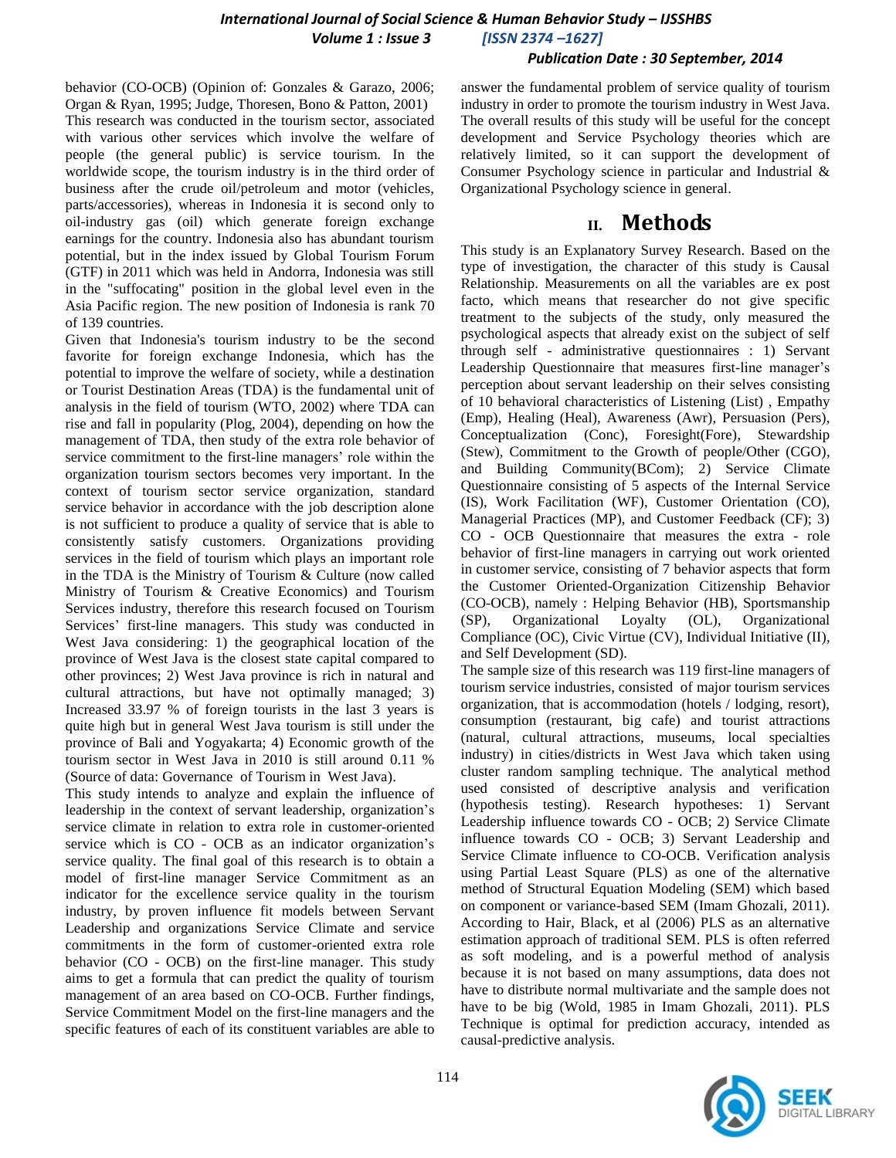#### *Publication Date : 30 September, 2014*

behavior (CO-OCB) (Opinion of: Gonzales & Garazo, 2006; Organ & Ryan, 1995; Judge, Thoresen, Bono & Patton, 2001) This research was conducted in the tourism sector, associated with various other services which involve the welfare of people (the general public) is service tourism. In the worldwide scope, the tourism industry is in the third order of business after the crude oil/petroleum and motor (vehicles, parts/accessories), whereas in Indonesia it is second only to oil-industry gas (oil) which generate foreign exchange earnings for the country. Indonesia also has abundant tourism potential, but in the index issued by Global Tourism Forum (GTF) in 2011 which was held in Andorra, Indonesia was still in the "suffocating" position in the global level even in the Asia Pacific region. The new position of Indonesia is rank 70 of 139 countries.

Given that Indonesia's tourism industry to be the second favorite for foreign exchange Indonesia, which has the potential to improve the welfare of society, while a destination or Tourist Destination Areas (TDA) is the fundamental unit of analysis in the field of tourism (WTO, 2002) where TDA can rise and fall in popularity (Plog, 2004), depending on how the management of TDA, then study of the extra role behavior of service commitment to the first-line managers' role within the organization tourism sectors becomes very important. In the context of tourism sector service organization, standard service behavior in accordance with the job description alone is not sufficient to produce a quality of service that is able to consistently satisfy customers. Organizations providing services in the field of tourism which plays an important role in the TDA is the Ministry of Tourism & Culture (now called Ministry of Tourism & Creative Economics) and Tourism Services industry, therefore this research focused on Tourism Services' first-line managers. This study was conducted in West Java considering: 1) the geographical location of the province of West Java is the closest state capital compared to other provinces; 2) West Java province is rich in natural and cultural attractions, but have not optimally managed; 3) Increased 33.97 % of foreign tourists in the last 3 years is quite high but in general West Java tourism is still under the province of Bali and Yogyakarta; 4) Economic growth of the tourism sector in West Java in 2010 is still around 0.11 % (Source of data: Governance of Tourism in West Java).

This study intends to analyze and explain the influence of leadership in the context of servant leadership, organization's service climate in relation to extra role in customer-oriented service which is CO - OCB as an indicator organization's service quality. The final goal of this research is to obtain a model of first-line manager Service Commitment as an indicator for the excellence service quality in the tourism industry, by proven influence fit models between Servant Leadership and organizations Service Climate and service commitments in the form of customer-oriented extra role behavior (CO - OCB) on the first-line manager. This study aims to get a formula that can predict the quality of tourism management of an area based on CO-OCB. Further findings, Service Commitment Model on the first-line managers and the specific features of each of its constituent variables are able to

answer the fundamental problem of service quality of tourism industry in order to promote the tourism industry in West Java. The overall results of this study will be useful for the concept development and Service Psychology theories which are relatively limited, so it can support the development of Consumer Psychology science in particular and Industrial & Organizational Psychology science in general.

## **II. Methods**

This study is an Explanatory Survey Research. Based on the type of investigation, the character of this study is Causal Relationship. Measurements on all the variables are ex post facto, which means that researcher do not give specific treatment to the subjects of the study, only measured the psychological aspects that already exist on the subject of self through self - administrative questionnaires : 1) Servant Leadership Questionnaire that measures first-line manager's perception about servant leadership on their selves consisting of 10 behavioral characteristics of Listening (List) , Empathy (Emp), Healing (Heal), Awareness (Awr), Persuasion (Pers), Conceptualization (Conc), Foresight(Fore), Stewardship (Stew), Commitment to the Growth of people/Other (CGO), and Building Community(BCom); 2) Service Climate Questionnaire consisting of 5 aspects of the Internal Service (IS), Work Facilitation (WF), Customer Orientation (CO), Managerial Practices (MP), and Customer Feedback (CF); 3) CO - OCB Questionnaire that measures the extra - role behavior of first-line managers in carrying out work oriented in customer service, consisting of 7 behavior aspects that form the Customer Oriented-Organization Citizenship Behavior (CO-OCB), namely : Helping Behavior (HB), Sportsmanship (SP), Organizational Loyalty (OL), Organizational Compliance (OC), Civic Virtue (CV), Individual Initiative (II), and Self Development (SD).

The sample size of this research was 119 first-line managers of tourism service industries, consisted of major tourism services organization, that is accommodation (hotels / lodging, resort), consumption (restaurant, big cafe) and tourist attractions (natural, cultural attractions, museums, local specialties industry) in cities/districts in West Java which taken using cluster random sampling technique. The analytical method used consisted of descriptive analysis and verification (hypothesis testing). Research hypotheses: 1) Servant Leadership influence towards CO - OCB; 2) Service Climate influence towards CO - OCB; 3) Servant Leadership and Service Climate influence to CO-OCB. Verification analysis using Partial Least Square (PLS) as one of the alternative method of Structural Equation Modeling (SEM) which based on component or variance-based SEM (Imam Ghozali, 2011). According to Hair, Black, et al (2006) PLS as an alternative estimation approach of traditional SEM. PLS is often referred as soft modeling, and is a powerful method of analysis because it is not based on many assumptions, data does not have to distribute normal multivariate and the sample does not have to be big (Wold, 1985 in Imam Ghozali, 2011). PLS Technique is optimal for prediction accuracy, intended as causal-predictive analysis.

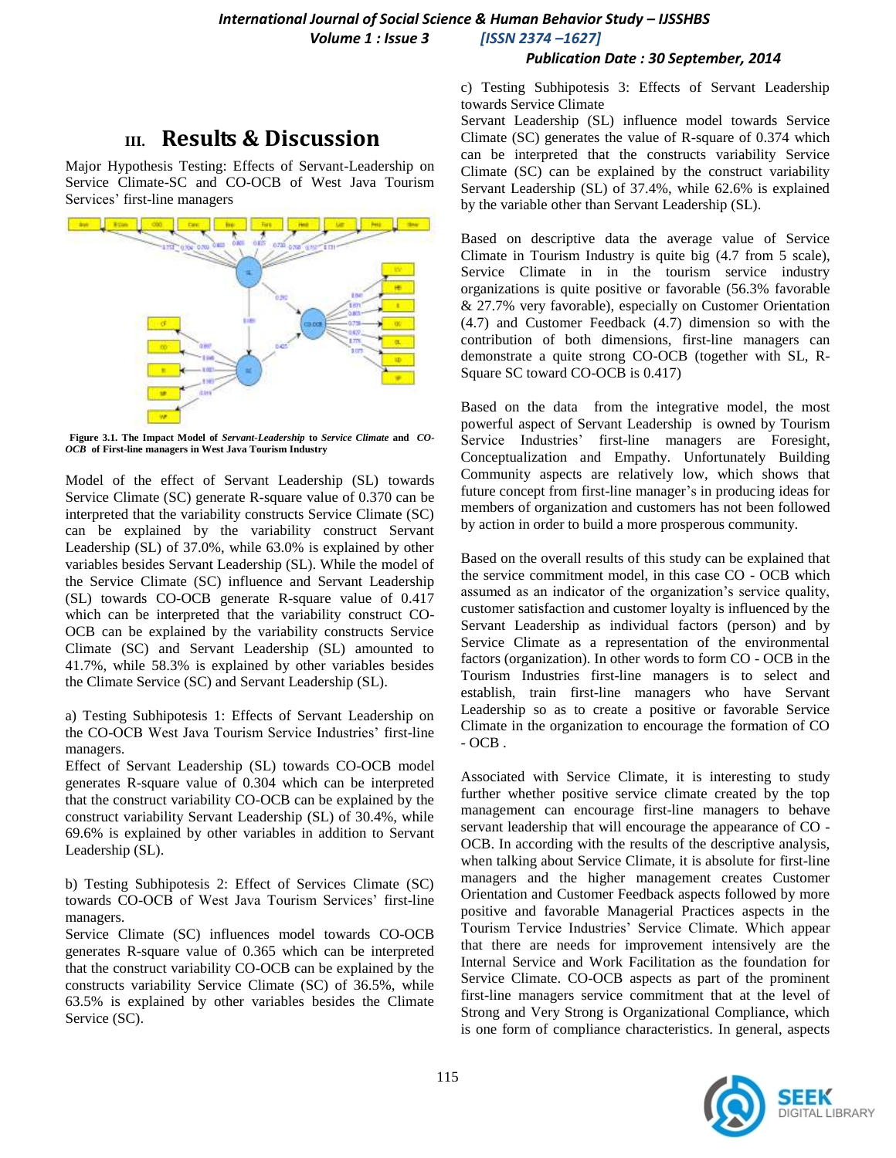#### *Publication Date : 30 September, 2014*

# **III. Results & Discussion**

Major Hypothesis Testing: Effects of Servant-Leadership on Service Climate-SC and CO-OCB of West Java Tourism Services' first-line managers



**Figure 3.1. The Impact Model of** *Servant***-***Leadership* **to** *Service Climate* **and** *CO-OCB* **of First-line managers in West Java Tourism Industry**

Model of the effect of Servant Leadership (SL) towards Service Climate (SC) generate R-square value of 0.370 can be interpreted that the variability constructs Service Climate (SC) can be explained by the variability construct Servant Leadership (SL) of 37.0%, while 63.0% is explained by other variables besides Servant Leadership (SL). While the model of the Service Climate (SC) influence and Servant Leadership (SL) towards CO-OCB generate R-square value of 0.417 which can be interpreted that the variability construct CO-OCB can be explained by the variability constructs Service Climate (SC) and Servant Leadership (SL) amounted to 41.7%, while 58.3% is explained by other variables besides the Climate Service (SC) and Servant Leadership (SL).

a) Testing Subhipotesis 1: Effects of Servant Leadership on the CO-OCB West Java Tourism Service Industries' first-line managers.

Effect of Servant Leadership (SL) towards CO-OCB model generates R-square value of 0.304 which can be interpreted that the construct variability CO-OCB can be explained by the construct variability Servant Leadership (SL) of 30.4%, while 69.6% is explained by other variables in addition to Servant Leadership (SL).

b) Testing Subhipotesis 2: Effect of Services Climate (SC) towards CO-OCB of West Java Tourism Services' first-line managers.

Service Climate (SC) influences model towards CO-OCB generates R-square value of 0.365 which can be interpreted that the construct variability CO-OCB can be explained by the constructs variability Service Climate (SC) of 36.5%, while 63.5% is explained by other variables besides the Climate Service (SC).

c) Testing Subhipotesis 3: Effects of Servant Leadership towards Service Climate

Servant Leadership (SL) influence model towards Service Climate (SC) generates the value of R-square of 0.374 which can be interpreted that the constructs variability Service Climate (SC) can be explained by the construct variability Servant Leadership (SL) of 37.4%, while 62.6% is explained by the variable other than Servant Leadership (SL).

Based on descriptive data the average value of Service Climate in Tourism Industry is quite big (4.7 from 5 scale), Service Climate in in the tourism service industry organizations is quite positive or favorable (56.3% favorable & 27.7% very favorable), especially on Customer Orientation (4.7) and Customer Feedback (4.7) dimension so with the contribution of both dimensions, first-line managers can demonstrate a quite strong CO-OCB (together with SL, R-Square SC toward CO-OCB is 0.417)

Based on the data from the integrative model, the most powerful aspect of Servant Leadership is owned by Tourism Service Industries' first-line managers are Foresight, Conceptualization and Empathy. Unfortunately Building Community aspects are relatively low, which shows that future concept from first-line manager's in producing ideas for members of organization and customers has not been followed by action in order to build a more prosperous community.

Based on the overall results of this study can be explained that the service commitment model, in this case CO - OCB which assumed as an indicator of the organization's service quality, customer satisfaction and customer loyalty is influenced by the Servant Leadership as individual factors (person) and by Service Climate as a representation of the environmental factors (organization). In other words to form CO - OCB in the Tourism Industries first-line managers is to select and establish, train first-line managers who have Servant Leadership so as to create a positive or favorable Service Climate in the organization to encourage the formation of CO  $-$  OCB .  $\;$ 

Associated with Service Climate, it is interesting to study further whether positive service climate created by the top management can encourage first-line managers to behave servant leadership that will encourage the appearance of CO - OCB. In according with the results of the descriptive analysis, when talking about Service Climate, it is absolute for first-line managers and the higher management creates Customer Orientation and Customer Feedback aspects followed by more positive and favorable Managerial Practices aspects in the Tourism Tervice Industries' Service Climate. Which appear that there are needs for improvement intensively are the Internal Service and Work Facilitation as the foundation for Service Climate. CO-OCB aspects as part of the prominent first-line managers service commitment that at the level of Strong and Very Strong is Organizational Compliance, which is one form of compliance characteristics. In general, aspects

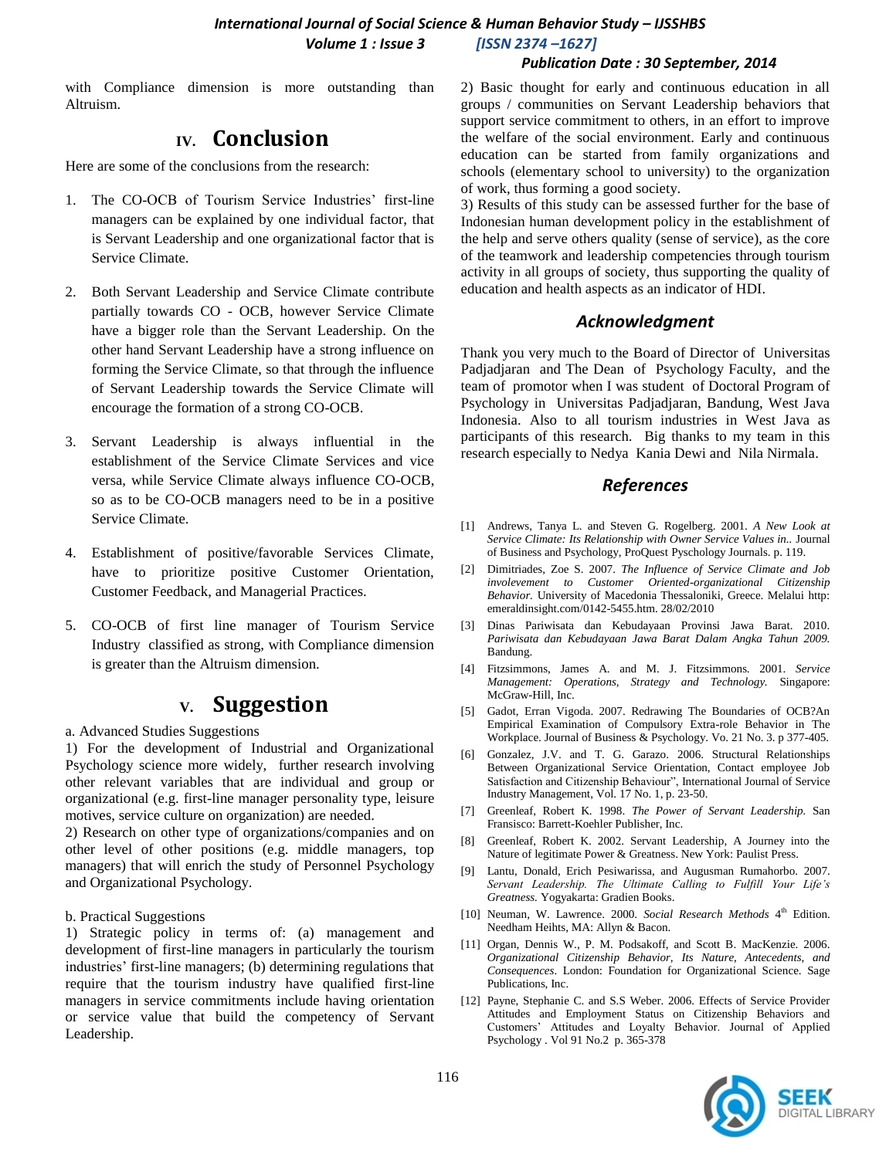#### *Publication Date : 30 September, 2014*

with Compliance dimension is more outstanding than Altruism.

## **IV. Conclusion**

Here are some of the conclusions from the research:

- 1. The CO-OCB of Tourism Service Industries' first-line managers can be explained by one individual factor, that is Servant Leadership and one organizational factor that is Service Climate.
- 2. Both Servant Leadership and Service Climate contribute partially towards CO - OCB, however Service Climate have a bigger role than the Servant Leadership. On the other hand Servant Leadership have a strong influence on forming the Service Climate, so that through the influence of Servant Leadership towards the Service Climate will encourage the formation of a strong CO-OCB.
- 3. Servant Leadership is always influential in the establishment of the Service Climate Services and vice versa, while Service Climate always influence CO-OCB, so as to be CO-OCB managers need to be in a positive Service Climate.
- 4. Establishment of positive/favorable Services Climate, have to prioritize positive Customer Orientation, Customer Feedback, and Managerial Practices.
- 5. CO-OCB of first line manager of Tourism Service Industry classified as strong, with Compliance dimension is greater than the Altruism dimension.

### **V. Suggestion**

a. Advanced Studies Suggestions

1) For the development of Industrial and Organizational Psychology science more widely, further research involving other relevant variables that are individual and group or organizational (e.g. first-line manager personality type, leisure motives, service culture on organization) are needed.

2) Research on other type of organizations/companies and on other level of other positions (e.g. middle managers, top managers) that will enrich the study of Personnel Psychology and Organizational Psychology.

b. Practical Suggestions

1) Strategic policy in terms of: (a) management and development of first-line managers in particularly the tourism industries' first-line managers; (b) determining regulations that require that the tourism industry have qualified first-line managers in service commitments include having orientation or service value that build the competency of Servant Leadership.

2) Basic thought for early and continuous education in all groups / communities on Servant Leadership behaviors that support service commitment to others, in an effort to improve the welfare of the social environment. Early and continuous education can be started from family organizations and schools (elementary school to university) to the organization of work, thus forming a good society.

3) Results of this study can be assessed further for the base of Indonesian human development policy in the establishment of the help and serve others quality (sense of service), as the core of the teamwork and leadership competencies through tourism activity in all groups of society, thus supporting the quality of education and health aspects as an indicator of HDI.

### *Acknowledgment*

Thank you very much to the Board of Director of Universitas Padjadjaran and The Dean of Psychology Faculty, and the team of promotor when I was student of Doctoral Program of Psychology in Universitas Padjadjaran, Bandung, West Java Indonesia. Also to all tourism industries in West Java as participants of this research. Big thanks to my team in this research especially to Nedya Kania Dewi and Nila Nirmala.

#### *References*

- [1] Andrews, Tanya L. and Steven G. Rogelberg. 2001. *A New Look at Service Climate: Its Relationship with Owner Service Values in..* Journal of Business and Psychology, ProQuest Pyschology Journals. p. 119.
- [2] Dimitriades, Zoe S. 2007. *The Influence of Service Climate and Job involevement to Customer Oriented-organizational Citizenship Behavior.* University of Macedonia Thessaloniki, Greece. Melalui http: emeraldinsight.com/0142-5455.htm. 28/02/2010
- [3] Dinas Pariwisata dan Kebudayaan Provinsi Jawa Barat. 2010. *Pariwisata dan Kebudayaan Jawa Barat Dalam Angka Tahun 2009.*  Bandung.
- [4] Fitzsimmons, James A. and M. J. Fitzsimmons. 2001. *Service Management: Operations, Strategy and Technology.* Singapore: McGraw-Hill, Inc.
- [5] Gadot, Erran Vigoda. 2007. Redrawing The Boundaries of OCB?An Empirical Examination of Compulsory Extra-role Behavior in The Workplace. Journal of Business & Psychology. Vo. 21 No. 3. p 377-405.
- [6] Gonzalez, J.V. and T. G. Garazo. 2006. Structural Relationships Between Organizational Service Orientation, Contact employee Job Satisfaction and Citizenship Behaviour", International Journal of Service Industry Management, Vol. 17 No. 1, p. 23-50.
- [7] Greenleaf, Robert K. 1998. *The Power of Servant Leadership.* San Fransisco: Barrett-Koehler Publisher, Inc.
- [8] Greenleaf, Robert K. 2002. Servant Leadership, A Journey into the Nature of legitimate Power & Greatness. New York: Paulist Press.
- [9] Lantu, Donald, Erich Pesiwarissa, and Augusman Rumahorbo. 2007. *Servant Leadership. The Ultimate Calling to Fulfill Your Life's Greatness.* Yogyakarta: Gradien Books.
- [10] Neuman, W. Lawrence. 2000. *Social Research Methods* 4<sup>th</sup> Edition. Needham Heihts, MA: Allyn & Bacon.
- [11] Organ, Dennis W., P. M. Podsakoff, and Scott B. MacKenzie. 2006. *Organizational Citizenship Behavior, Its Nature*, *Antecedents*, *and Consequences*. London: Foundation for Organizational Science. Sage Publications, Inc.
- [12] Payne, Stephanie C. and S.S Weber. 2006. Effects of Service Provider Attitudes and Employment Status on Citizenship Behaviors and Customers' Attitudes and Loyalty Behavior. Journal of Applied Psychology . Vol 91 No.2 p. 365-378